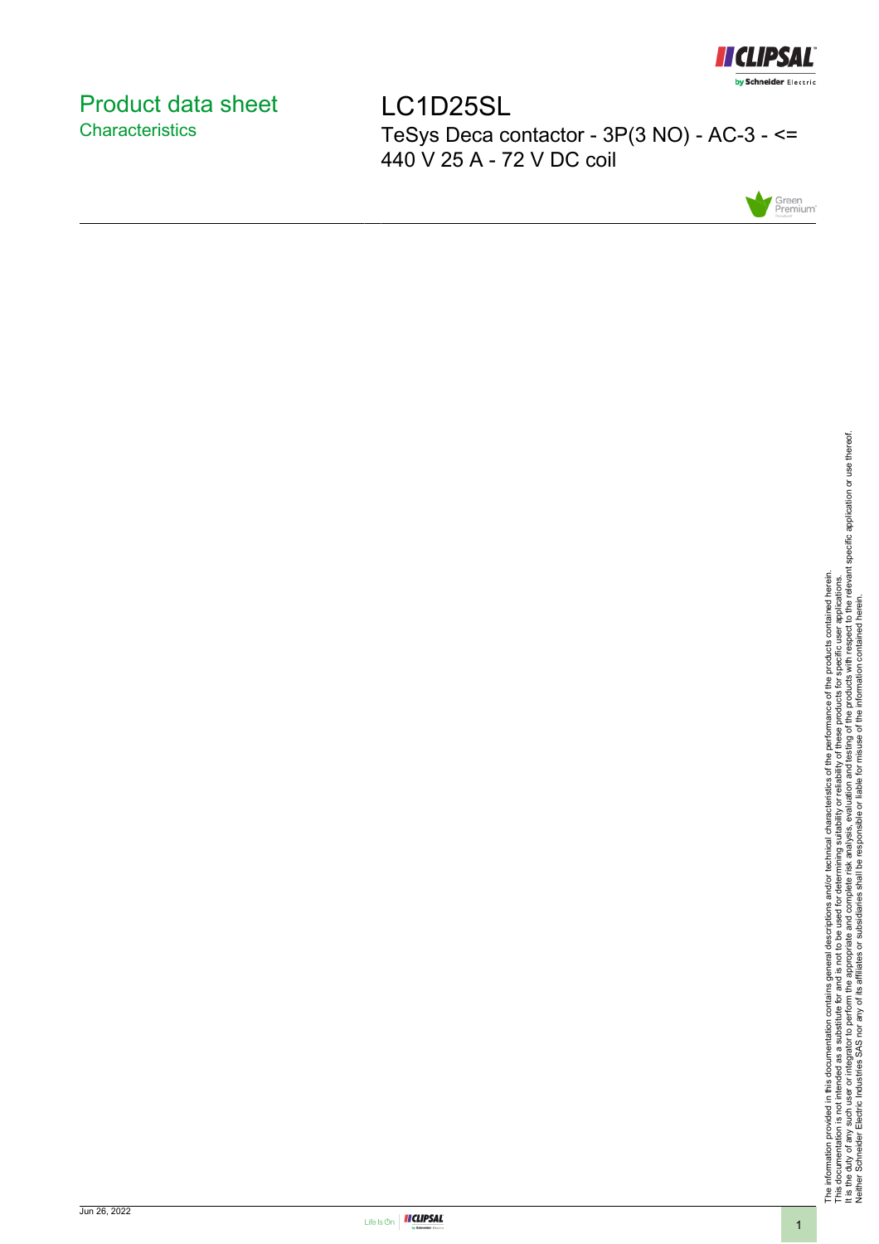

# <span id="page-0-0"></span>Product data sheet **Characteristics**

LC1D25SL TeSys Deca contactor - 3P(3 NO) - AC-3 - <= 440 V 25 A - 72 V DC coil



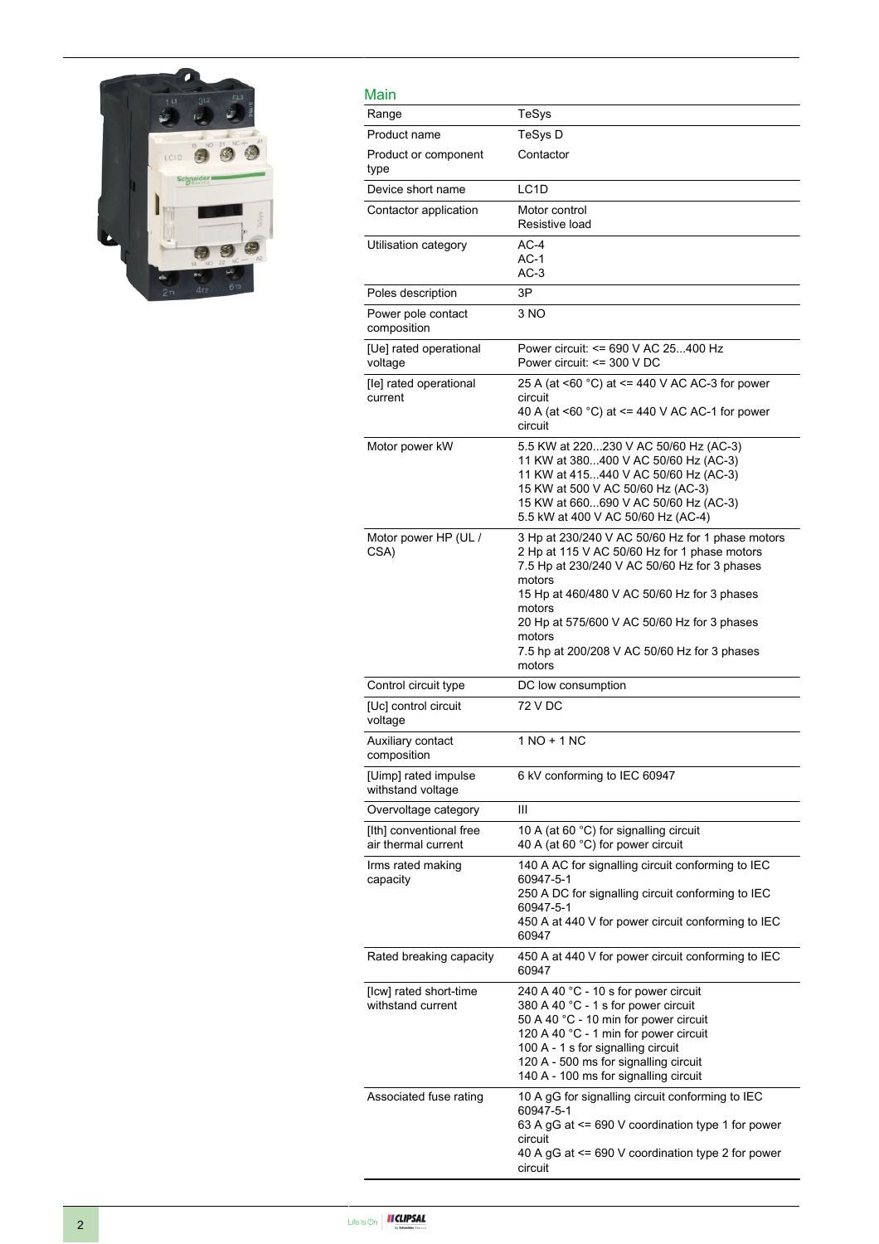

| Main                                           |                                                                                                                                                                                                                                                                                                                                        |
|------------------------------------------------|----------------------------------------------------------------------------------------------------------------------------------------------------------------------------------------------------------------------------------------------------------------------------------------------------------------------------------------|
| Range                                          | TeSys                                                                                                                                                                                                                                                                                                                                  |
| Product name                                   | TeSys D                                                                                                                                                                                                                                                                                                                                |
| Product or component<br>type                   | Contactor                                                                                                                                                                                                                                                                                                                              |
| Device short name                              | LC1D                                                                                                                                                                                                                                                                                                                                   |
| Contactor application                          | Motor control<br>Resistive load                                                                                                                                                                                                                                                                                                        |
| Utilisation category                           | $AC-4$<br>$AC-1$<br>$AC-3$                                                                                                                                                                                                                                                                                                             |
| Poles description                              | 3P                                                                                                                                                                                                                                                                                                                                     |
| Power pole contact<br>composition              | 3 NO                                                                                                                                                                                                                                                                                                                                   |
| [Ue] rated operational<br>voltage              | Power circuit: <= 690 V AC 25400 Hz<br>Power circuit: <= 300 V DC                                                                                                                                                                                                                                                                      |
| [le] rated operational<br>current              | 25 A (at <60 °C) at <= 440 V AC AC-3 for power<br>circuit<br>40 A (at <60 °C) at <= 440 V AC AC-1 for power<br>circuit                                                                                                                                                                                                                 |
| Motor power kW                                 | 5.5 KW at 220230 V AC 50/60 Hz (AC-3)<br>11 KW at 380400 V AC 50/60 Hz (AC-3)<br>11 KW at 415440 V AC 50/60 Hz (AC-3)<br>15 KW at 500 V AC 50/60 Hz (AC-3)<br>15 KW at 660690 V AC 50/60 Hz (AC-3)<br>5.5 kW at 400 V AC 50/60 Hz (AC-4)                                                                                               |
| Motor power HP (UL /<br>CSA)                   | 3 Hp at 230/240 V AC 50/60 Hz for 1 phase motors<br>2 Hp at 115 V AC 50/60 Hz for 1 phase motors<br>7.5 Hp at 230/240 V AC 50/60 Hz for 3 phases<br>motors<br>15 Hp at 460/480 V AC 50/60 Hz for 3 phases<br>motors<br>20 Hp at 575/600 V AC 50/60 Hz for 3 phases<br>motors<br>7.5 hp at 200/208 V AC 50/60 Hz for 3 phases<br>motors |
| Control circuit type                           | DC low consumption                                                                                                                                                                                                                                                                                                                     |
| [Uc] control circuit<br>voltage                | 72 V DC                                                                                                                                                                                                                                                                                                                                |
| Auxiliary contact<br>composition               | 1 NO + 1 NC                                                                                                                                                                                                                                                                                                                            |
| [Uimp] rated impulse<br>withstand voltage      | 6 kV conforming to IEC 60947                                                                                                                                                                                                                                                                                                           |
| Overvoltage category                           | Ш                                                                                                                                                                                                                                                                                                                                      |
| [Ith] conventional free<br>air thermal current | 10 A (at 60 °C) for signalling circuit<br>40 A (at 60 °C) for power circuit                                                                                                                                                                                                                                                            |
| Irms rated making<br>capacity                  | 140 A AC for signalling circuit conforming to IEC<br>60947-5-1<br>250 A DC for signalling circuit conforming to IEC<br>60947-5-1<br>450 A at 440 V for power circuit conforming to IEC<br>60947                                                                                                                                        |
| Rated breaking capacity                        | 450 A at 440 V for power circuit conforming to IEC<br>60947                                                                                                                                                                                                                                                                            |
| [Icw] rated short-time<br>withstand current    | 240 A 40 °C - 10 s for power circuit<br>380 A 40 °C - 1 s for power circuit<br>50 A 40 °C - 10 min for power circuit<br>120 A 40 °C - 1 min for power circuit<br>100 A - 1 s for signalling circuit<br>120 A - 500 ms for signalling circuit<br>140 A - 100 ms for signalling circuit                                                  |
| Associated fuse rating                         | 10 A gG for signalling circuit conforming to IEC<br>60947-5-1<br>63 A gG at <= 690 V coordination type 1 for power<br>circuit<br>40 A gG at <= 690 V coordination type 2 for power<br>circuit                                                                                                                                          |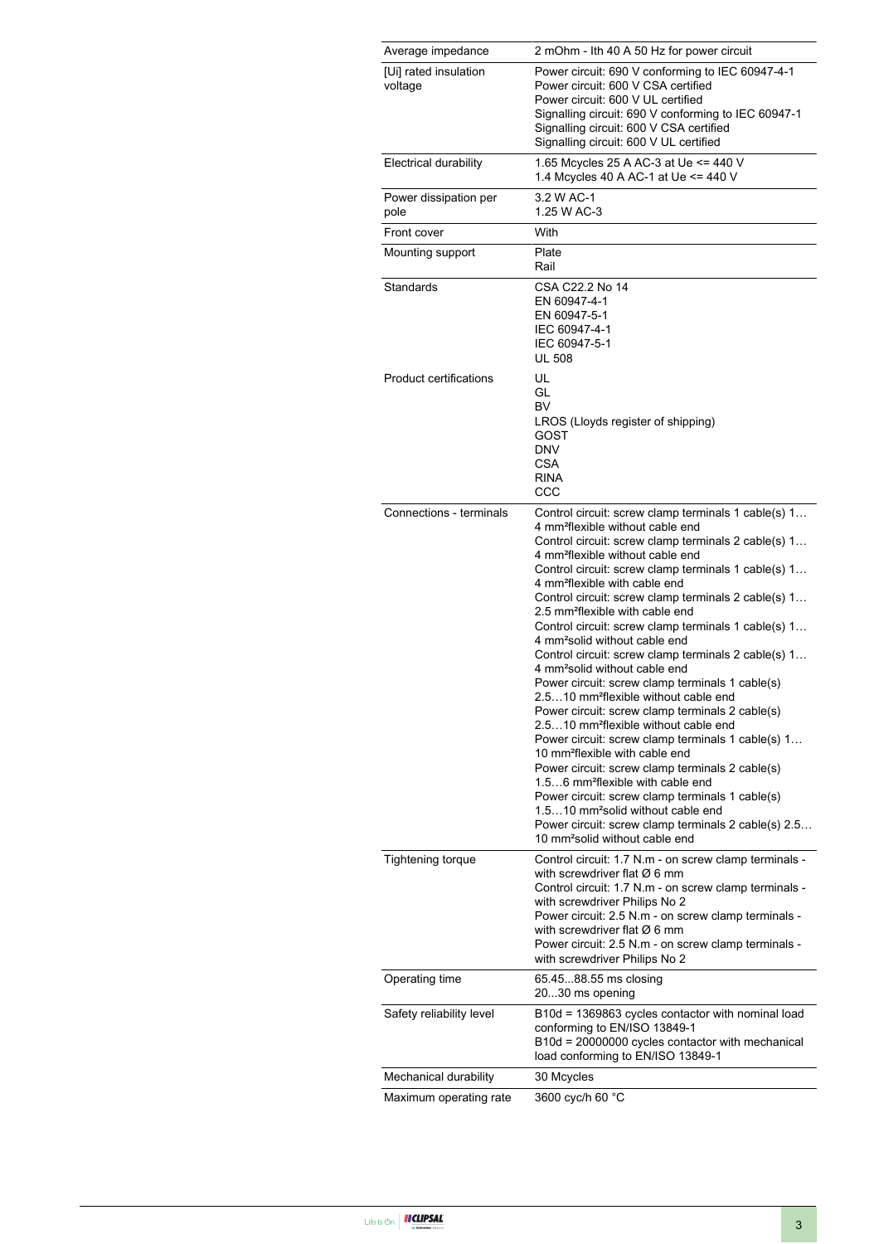| Average impedance                | 2 mOhm - Ith 40 A 50 Hz for power circuit                                                                                                                                                                                                                                                                                                                                                                                                                                                                                                                                                                                                                                                                                                                                                                                                                                                                                                                                                                                                                                                                                                                                                                                                                 |
|----------------------------------|-----------------------------------------------------------------------------------------------------------------------------------------------------------------------------------------------------------------------------------------------------------------------------------------------------------------------------------------------------------------------------------------------------------------------------------------------------------------------------------------------------------------------------------------------------------------------------------------------------------------------------------------------------------------------------------------------------------------------------------------------------------------------------------------------------------------------------------------------------------------------------------------------------------------------------------------------------------------------------------------------------------------------------------------------------------------------------------------------------------------------------------------------------------------------------------------------------------------------------------------------------------|
| [Ui] rated insulation<br>voltage | Power circuit: 690 V conforming to IEC 60947-4-1<br>Power circuit: 600 V CSA certified<br>Power circuit: 600 V UL certified<br>Signalling circuit: 690 V conforming to IEC 60947-1<br>Signalling circuit: 600 V CSA certified<br>Signalling circuit: 600 V UL certified                                                                                                                                                                                                                                                                                                                                                                                                                                                                                                                                                                                                                                                                                                                                                                                                                                                                                                                                                                                   |
| <b>Electrical durability</b>     | 1.65 Mcycles 25 A AC-3 at Ue <= 440 V<br>1.4 Mcycles 40 A AC-1 at Ue <= 440 V                                                                                                                                                                                                                                                                                                                                                                                                                                                                                                                                                                                                                                                                                                                                                                                                                                                                                                                                                                                                                                                                                                                                                                             |
| Power dissipation per<br>pole    | 3.2 W AC-1<br>1.25 W AC-3                                                                                                                                                                                                                                                                                                                                                                                                                                                                                                                                                                                                                                                                                                                                                                                                                                                                                                                                                                                                                                                                                                                                                                                                                                 |
| Front cover                      | With                                                                                                                                                                                                                                                                                                                                                                                                                                                                                                                                                                                                                                                                                                                                                                                                                                                                                                                                                                                                                                                                                                                                                                                                                                                      |
| Mounting support                 | Plate<br>Rail                                                                                                                                                                                                                                                                                                                                                                                                                                                                                                                                                                                                                                                                                                                                                                                                                                                                                                                                                                                                                                                                                                                                                                                                                                             |
| Standards                        | CSA C22.2 No 14<br>EN 60947-4-1<br>EN 60947-5-1<br>IEC 60947-4-1<br>IEC 60947-5-1<br><b>UL 508</b>                                                                                                                                                                                                                                                                                                                                                                                                                                                                                                                                                                                                                                                                                                                                                                                                                                                                                                                                                                                                                                                                                                                                                        |
| <b>Product certifications</b>    | UL<br>GL<br>BV<br>LROS (Lloyds register of shipping)<br>GOST<br>DNV<br>CSA<br>RINA<br>CCC                                                                                                                                                                                                                                                                                                                                                                                                                                                                                                                                                                                                                                                                                                                                                                                                                                                                                                                                                                                                                                                                                                                                                                 |
| Connections - terminals          | Control circuit: screw clamp terminals 1 cable(s) 1<br>4 mm <sup>2</sup> flexible without cable end<br>Control circuit: screw clamp terminals 2 cable(s) 1<br>4 mm <sup>2</sup> flexible without cable end<br>Control circuit: screw clamp terminals 1 cable(s) 1<br>4 mm <sup>2</sup> flexible with cable end<br>Control circuit: screw clamp terminals 2 cable(s) 1<br>2.5 mm <sup>2</sup> flexible with cable end<br>Control circuit: screw clamp terminals 1 cable(s) 1<br>4 mm <sup>2</sup> solid without cable end<br>Control circuit: screw clamp terminals 2 cable(s) 1<br>4 mm <sup>2</sup> solid without cable end<br>Power circuit: screw clamp terminals 1 cable(s)<br>2.510 mm <sup>2</sup> flexible without cable end<br>Power circuit: screw clamp terminals 2 cable(s)<br>2.510 mm <sup>2</sup> flexible without cable end<br>Power circuit: screw clamp terminals 1 cable(s) 1<br>10 mm <sup>2</sup> flexible with cable end<br>Power circuit: screw clamp terminals 2 cable(s)<br>1.56 mm <sup>2</sup> flexible with cable end<br>Power circuit: screw clamp terminals 1 cable(s)<br>1.510 mm <sup>2</sup> solid without cable end<br>Power circuit: screw clamp terminals 2 cable(s) 2.5<br>10 mm <sup>2</sup> solid without cable end |
| <b>Tightening torque</b>         | Control circuit: 1.7 N.m - on screw clamp terminals -<br>with screwdriver flat $\varnothing$ 6 mm<br>Control circuit: 1.7 N.m - on screw clamp terminals -<br>with screwdriver Philips No 2<br>Power circuit: 2.5 N.m - on screw clamp terminals -<br>with screwdriver flat $\varnothing$ 6 mm<br>Power circuit: 2.5 N.m - on screw clamp terminals -<br>with screwdriver Philips No 2                                                                                                                                                                                                                                                                                                                                                                                                                                                                                                                                                                                                                                                                                                                                                                                                                                                                    |
| Operating time                   | 65.4588.55 ms closing<br>2030 ms opening                                                                                                                                                                                                                                                                                                                                                                                                                                                                                                                                                                                                                                                                                                                                                                                                                                                                                                                                                                                                                                                                                                                                                                                                                  |
| Safety reliability level         | B10d = 1369863 cycles contactor with nominal load<br>conforming to EN/ISO 13849-1<br>B10d = 20000000 cycles contactor with mechanical<br>load conforming to EN/ISO 13849-1                                                                                                                                                                                                                                                                                                                                                                                                                                                                                                                                                                                                                                                                                                                                                                                                                                                                                                                                                                                                                                                                                |
| Mechanical durability            | 30 Mcycles                                                                                                                                                                                                                                                                                                                                                                                                                                                                                                                                                                                                                                                                                                                                                                                                                                                                                                                                                                                                                                                                                                                                                                                                                                                |
| Maximum operating rate           | 3600 cyc/h 60 °C                                                                                                                                                                                                                                                                                                                                                                                                                                                                                                                                                                                                                                                                                                                                                                                                                                                                                                                                                                                                                                                                                                                                                                                                                                          |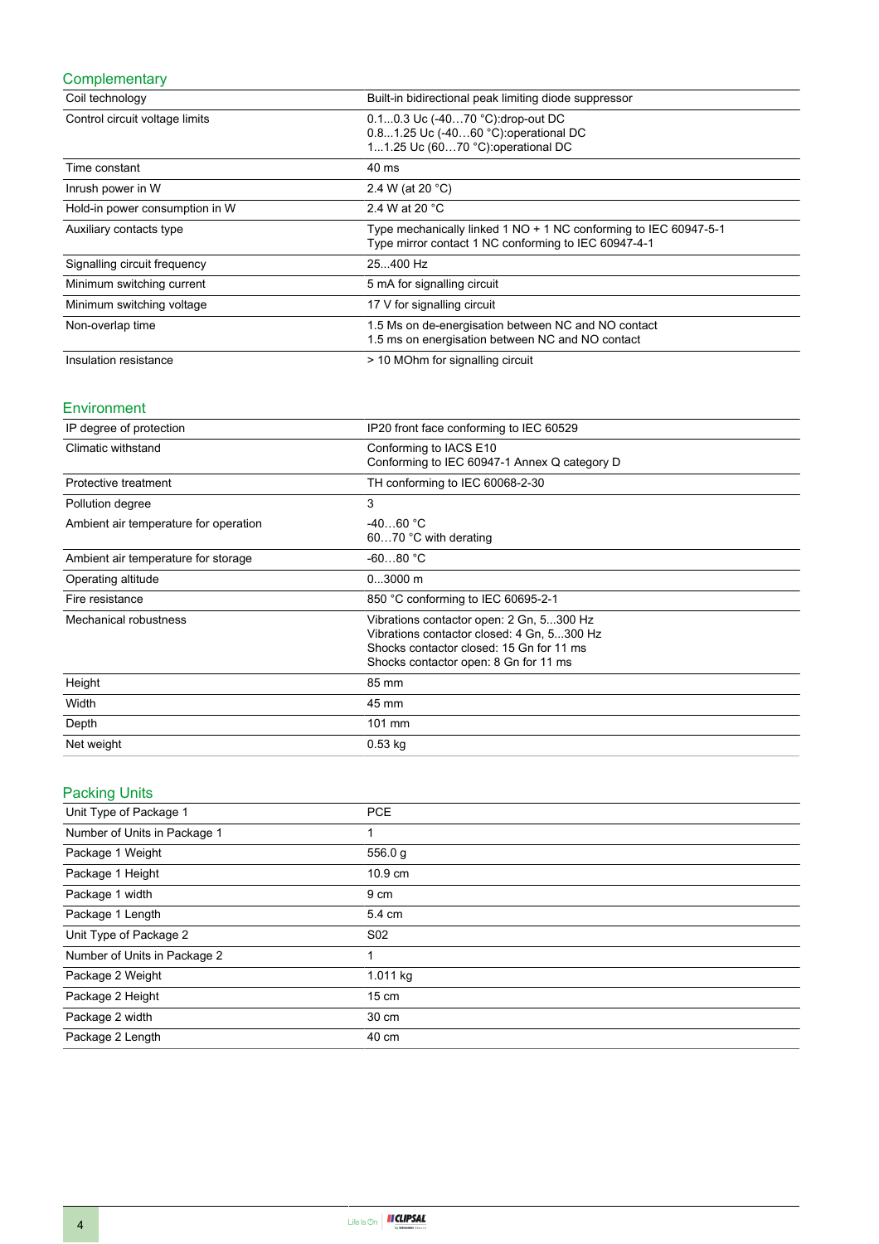## **Complementary**

| Coil technology                | Built-in bidirectional peak limiting diode suppressor                                                                    |
|--------------------------------|--------------------------------------------------------------------------------------------------------------------------|
| Control circuit voltage limits | 0.10.3 Uc (-4070 °C): drop-out DC<br>0.81.25 Uc (-4060 °C): operational DC<br>11.25 Uc (6070 °C): operational DC         |
| Time constant                  | 40 ms                                                                                                                    |
| Inrush power in W              | 2.4 W (at 20 °C)                                                                                                         |
| Hold-in power consumption in W | 2.4 W at 20 $^{\circ}$ C                                                                                                 |
| Auxiliary contacts type        | Type mechanically linked 1 NO + 1 NC conforming to IEC 60947-5-1<br>Type mirror contact 1 NC conforming to IEC 60947-4-1 |
| Signalling circuit frequency   | 25.400 Hz                                                                                                                |
| Minimum switching current      | 5 mA for signalling circuit                                                                                              |
| Minimum switching voltage      | 17 V for signalling circuit                                                                                              |
| Non-overlap time               | 1.5 Ms on de-energisation between NC and NO contact<br>1.5 ms on energisation between NC and NO contact                  |
| Insulation resistance          | > 10 MOhm for signalling circuit                                                                                         |

### Environment

| IP degree of protection               | IP20 front face conforming to IEC 60529                                                                                                                                     |
|---------------------------------------|-----------------------------------------------------------------------------------------------------------------------------------------------------------------------------|
| Climatic withstand                    | Conforming to IACS E10<br>Conforming to IEC 60947-1 Annex Q category D                                                                                                      |
| Protective treatment                  | TH conforming to IEC 60068-2-30                                                                                                                                             |
| Pollution degree                      | 3                                                                                                                                                                           |
| Ambient air temperature for operation | $-4060 °C$<br>6070 °C with derating                                                                                                                                         |
| Ambient air temperature for storage   | $-6080 °C$                                                                                                                                                                  |
| Operating altitude                    | $03000$ m                                                                                                                                                                   |
| Fire resistance                       | 850 °C conforming to IEC 60695-2-1                                                                                                                                          |
| Mechanical robustness                 | Vibrations contactor open: 2 Gn, 5300 Hz<br>Vibrations contactor closed: 4 Gn, 5300 Hz<br>Shocks contactor closed: 15 Gn for 11 ms<br>Shocks contactor open: 8 Gn for 11 ms |
| Height                                | 85 mm                                                                                                                                                                       |
| Width                                 | 45 mm                                                                                                                                                                       |
| Depth                                 | 101 mm                                                                                                                                                                      |
| Net weight                            | $0.53$ kg                                                                                                                                                                   |

# Packing Units

| Unit Type of Package 1       | <b>PCE</b>      |
|------------------------------|-----------------|
| Number of Units in Package 1 |                 |
| Package 1 Weight             | 556.0 g         |
| Package 1 Height             | 10.9 cm         |
| Package 1 width              | 9 cm            |
| Package 1 Length             | 5.4 cm          |
| Unit Type of Package 2       | S <sub>02</sub> |
| Number of Units in Package 2 | 1               |
| Package 2 Weight             | 1.011 kg        |
| Package 2 Height             | $15 \text{ cm}$ |
| Package 2 width              | 30 cm           |
| Package 2 Length             | 40 cm           |